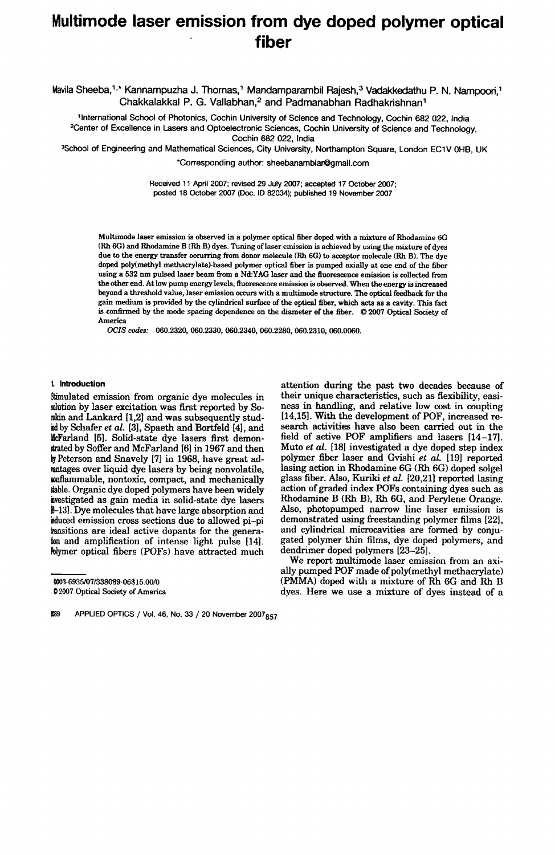# **Multimode laser emission from dye doped polymer optical fiber**

Mavila Sheeba,<sup>1,\*</sup> Kannampuzha J. Thomas,<sup>1</sup> Mandamparambil Rajesh,<sup>3</sup> Vadakkedathu P. N. Nampoori,<sup>1</sup> Chakkalakkal P. G. Vallabhan,2 and Padmanabhan Radhakrishnan'

11ntemational School of Photonics, Cochin University of Science and Technology, Cochin 682 022, India 2Center of Excellence in Lasers and Optoelectronic Sciences, Cochin University of Science and Technology, Cochin 682 022, India

3School of Engineering and Mathematical Sciences, City University, Northampton Square, London EC1V OHS, UK

'Corresponding author: sheebanambiar@gmail.com

Received 11 April 2007; revised 29 July 2007; accepted 17 October 2007; posted 18 October 2007 (Ooc. ID 82034); published 19 November 2007

Multimode laser emission is observed in a polymer optical fiber doped with a mixture of Rhodamine 6G (Rh 6G) and Rhodamine B (Rh B) dyes. Tuning of laser emission is achieved by using the mixture of dyes due to the energy transfer occurring from donor molecule (Rh 6G) to acceptor molecule (Rh B). The dye doped poly(methyl methacrylate}based polymer optical flber is pumped axially at one end of the fiber using a 532 nm pulsed laser beam from a Nd:YAG laser and the fluorescence emission is collected from the other end. At low pump energy levels, fluorescence emission is observed. When the energy is increased beyond a threshold value, laser emission occurs with a multimode structure. The optical feedback for the gain medium is provided by the cylindrical surface of the optical tiber, which acts as a cavity. This fact is confirmed by the mode spacing dependence on the diameter of the fiber. © 2007 Optical Society of America

*OCIS codes:* 060.2320, 060.2330, 060.2340, 060.2280, 060.2310, 060.0060.

### 1. **Introduction**

Stimulated emission from organic dye molecules in solution by laser excitation was first reported by Sowkin and Lankard [1,2] and was subsequently studied by Schafer *et al.* [3], Spaeth and Bortfeld [4], and McFarland [5]. Solid-state dye lasers first demon-Itrated by Soffer and McFarland [6] in 1967 and then by Peterson and Snavely [7] in 1968, have great adrantages over liquid dye lasers by being nonvolatile, waflammable, nontoxic, compact, and mechanically liable. Organic dye doped polymers have been widely investigated as gain media in solid-state dye lasers 8-13]. Dye molecules that have large absorption and Muced emission cross sections due to allowed pi-pi masitions are ideal active dopants for the generalion and amplification of intense light pulse [14]. Polymer optical fibers (POFs) have attracted much

1089 APPUED OPTICS / Vol. 46, No. 33 / 20 November 2007857

02007 Optical Society of America

attention during the past two decades because of their unique characteristics, such as flexibility, easiness in handling, and relative low cost in coupling [14,15]. With the development of POF, increased research activities have also been carried out in the field of active POF amplifiers and lasers [14-17]. Muto *et al.* [18) investigated a dye doped step index polymer flber laser and Gvishi *et al.* [19) reported lasing action in Rhodamine 6G (Rh 6G) doped solgel glass fiber. Also, Kuriki *et al.* [20,21) reported lasing action of graded index POFs containing dyes such as Rhodamine B (Rh B), Rh 6G, and Perylene Orange. Also, photopumped narrow line laser emission is demonstrated using freestanding polymer films [22J, and cylindrical microcavities are formed by conjugated polymer thin films, dye doped polymers, and dendrimer doped polymers [23-25].

We report multimode laser emission from an axially pumped  $POF$  made of poly(methyl methacrylate) (PMMA) doped with a mixture of Rh 6G and Rh B dyes. Here we use a mixture of dyes instead of a

<sup>0003-6935107/338089·06\$15.0010</sup>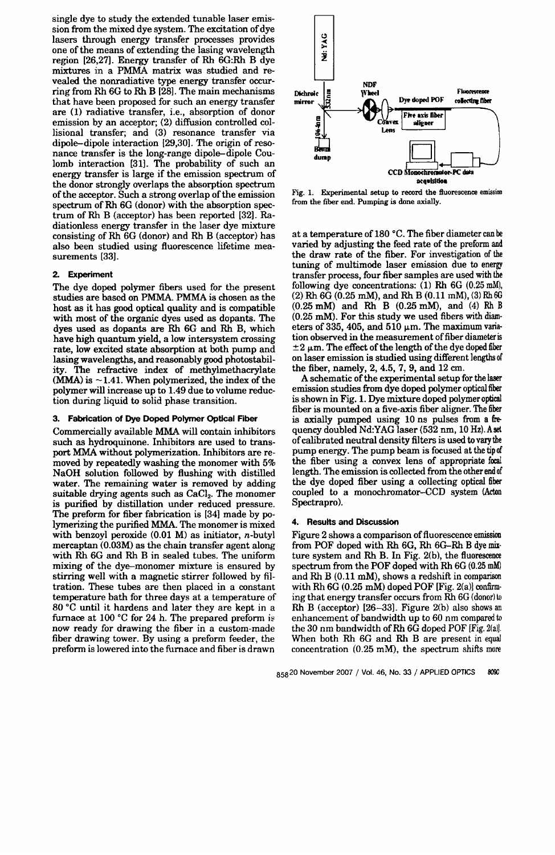single dye to study the extended tunable laser emission from the mixed dye system. The excitation of dye lasers through energy transfer processes provides one of the means of extending the lasing wavelength region [26,27]. Energy transfer of Rh 6G:Rh B dye mixtures in a PMMA matrix was studied and revealed the nonradiative type energy transfer occurring from Rh 6G to Rh B [28]. The main mechanisms that have been proposed for such an energy transfer are (1) radiative transfer, i.e., absorption of donor emission by an acceptor; (2) diffusion controlled collisional transfer; and (3) resonance transfer via dipole-dipole interaction [29,30]. The origin of resonance transfer is the long-range dipole-dipole Coulomb interaction [31]. The probability of such an energy transfer is large if the emission spectrum of the donor strongly overlaps the absorption spectrum of the acceptor. Such a strong overlap of the emission spectrum of Rh 6G (donor) with the absorption spectrum of Rh B (acceptor) has been reported [32]. Radiationless energy transfer in the laser dye mixture consisting of Rh 6G (donor) and Rh B (acceptor) has also been studied using fluorescence lifetime measurements (33).

## 2. Experiment

The dye doped polymer fibers used for the present studies are based on PMMA. PMMA is chosen as the host as it has good optical quality and is compatible with most of the organic dyes used as dopants. The dyes used as dopants are Rh 6G and Rh B, which have high quantum yield, a low intersystem crossing rate, low excited state absorption at both pump and lasing wavelengths, and reasonably good photostability. The refractive index of methylmethacrylate  $(MMA)$  is  $\sim$  1.41. When polymerized, the index of the polymer will increase up to 1.49 due to volume reduction during liquid to solid phase transition.

### 3. Fabrication of Dye Doped Polymer Optical Fiber

Commercially available MMA will contain inhibitors such as hydroquinone. Inhibitors are used to transport MMA without polymerization. Inhibitors are removed by repeatedly washing the monomer with 5% NaOH solution followed by flushing with distilled water. The remaining water is removed by adding suitable drying agents such as  $CaCl<sub>2</sub>$ . The monomer is purified by distillation under reduced pressure. The preform for fiber fabrication is [34] made by polymerizing the purified MMA. The monomer is mixed with benzoyl peroxide  $(0.01 \text{ M})$  as initiator, *n*-butyl mercaptan (0.03M) as the chain transfer agent along with Rh 6G and Rh B in sealed tubes. The uniform mixing of the dye-monomer mixture is ensured by stirring well with a magnetic stirrer followed by filtration. These tubes are then placed in a constant temperature bath for three days at a temperature of 80 °C until it hardens and later they are kept in a furnace at  $100 °C$  for 24 h. The prepared preform is now ready for drawing the fiber in a custom-made fiber drawing tower. By using a preform feeder, the preform is lowered into the furnace and fiber is drawn



Fig. 1. Experimental setup to record the fluorescence emission from the flber end. Pumping is done axially.

at a temperature of 180 °C. The fiber diameter can be varied by adjusting the feed rate of the preform and the draw rate of the fiber. For investigation of the tuning of multimode laser emission due to energy transfer process, four fiber samples are used with the following dye concentrations: (1) Rh 6G (0.25 mM), (2) Rh 6G (0.25 mM), and Rh B (0.11 mM), (3) Rh 6G (0.25 mM) and Rh B (0.25 mM), and (4) Rh B (0.25 mM). For this study we used fibers with diam· eters of 335, 405, and 510  $\mu$ m. The maximum variation observed in the measurement of fiber diameter is  $\pm 2$  µm. The effect of the length of the dye doped fiber on laser emission is studied using different lengths of the fiber, namely, 2, 4.5, 7, 9, and 12 cm.

A schematic of the experimental setup for the laser emission studies from dye doped polymer optical fiber is shown in Fig. 1. Dye mixture doped polymer optical fiber is mounted on a five-axis fiber aligner. The fiber is axially pumped using 10 ns pulses from a frequency doubled Nd:YAG laser (532 nm, 10 Hz).Aset of calibrated neutral density filters is used to vary the pump energy. The pump beam is focused at the tip of the fiber using a convex lens of appropriate focal length. The emission is collected from the other end of the dye doped fiber using a collecting optical fiber coupled to a monochromator-CCD system (Acton Spectrapro).

## 4. Results and Discussion

Figure 2 shows a comparison of fluorescence emission from POF doped with Rh 6G, Rh 6G-Rh B dye mix, ture system and Rh B. In Fig. 2(b), the fluorescence spectrum from the POF doped with Rh 6G (0.25 mM) and Rh B (0.11 mM), shows a redshift in comparison with Rh  $6G (0.25 \text{ mM})$  doped POF [Fig. 2(a)] confirming that energy transfer occurs from Rh 6G (donor) to Rh B (acceptor) [26-33]. Figure 2(b) also shows an enhancement of bandwidth up to 60 nm compared to the 30 nm bandwidth of Rh 6G doped POF [Fig. 2(a)]. When both Rh 6G and Rh B are present in equal concentration (0.25 mM), the spectrum shifts more

85820 November 2007 / Vol. 46, No. 33 / APPLIED OPTICS 8090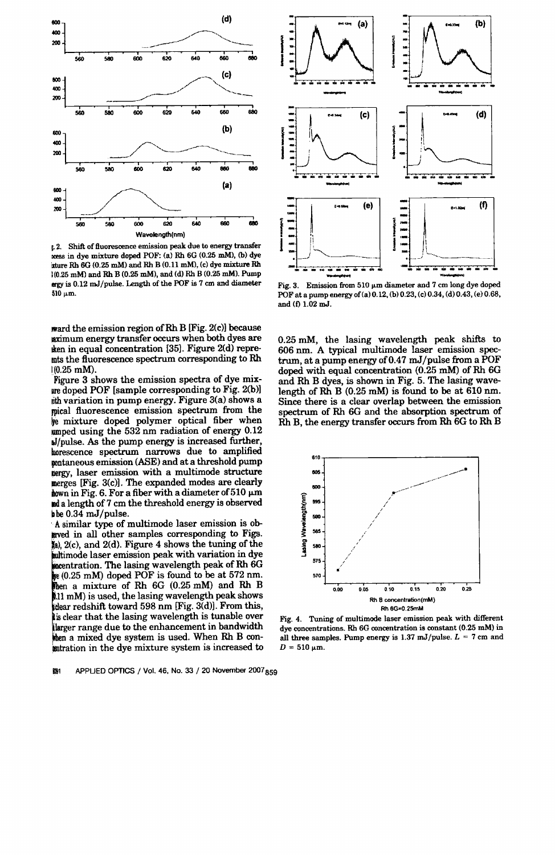

I- 2. Shift. of fluorescence emission peak due to energy transfer ress in dye mixture doped POF: (a) Rh 6G (0.25 mM), (b) dye  $t$ ture Rh 6G (0.25 mM) and Rh B (0.11 mM), (c) dye mixture Rh  $(0.25 \text{ mM})$  and Rh B (0.25 mM), and (d) Rh B (0.25 mM). Pump erg)' is 0.12 mJ /pulse. Length of the POF is 7 cm and diameter  $510 \mu m$ .

ward the emission region of Rh B [Fig. 2(c)] because aximum energy transfer occurs when both dyes are then in equal concentration [35]. Figure 2(d) repremts the fluorescence spectrum corresponding to Rh  $1(0.25 \text{ mM})$ .

Figure 3 shows the emission spectra of dye mixlire doped POF [sample corresponding to Fig. 2(b)] ith variation in pump energy. Figure 3(a) shows a mical fluorescence emission spectrum from the we mixture doped polymer optical fiber when  $\mu$ mped using the 532 nm radiation of energy 0.12 aJ/pulse. As the pump energy is increased further, hwrescence spectrum narrows due to amplified pontaneous emission (ASE) and at a threshold pump nergy, laser emission with a multimode structure merges [Fig. 3(c»). The expanded modes are clearly hown in Fig. 6. For a fiber with a diameter of 510  $\mu$ m lid a length of 7 cm the threshold energy is observed be  $0.34 \text{ mJ/pulse}$ .

A similar type of multimode laser emission is obgived in all other samples corresponding to Figs.  $\mathbf{I}_{\mathbf{a}}$ , 2(c), and 2(d). Figure 4 shows the tuning of the with variation in dye ntration. The lasing wavelength peak of Rh 6G (0.25 mM) doped POF is found to be at 572 nm. a mixture of Rh 6G (0.25 mM) and Rh B .11 mM) is used, the lasing wavelength peak shows idear redshift toward  $598$  nm [Fig. 3(d)]. From this, is clear that the lasing wavelength is tunable over 'larger range due to the enhancement in bandwidth then a mixed dye system is used. When Rh B conintration in the dye mixture system is increased to

1091 APPLIED OPTICS / Vol. 46, No. 33 / 20 November 2007 859



Fig. 3. Emission from 510  $\mu$ m diameter and 7 cm long dye doped POF at a pump energy of (a) 0,12, (b) 0.23, (c) 0.34, (d) 0.43, (e) 0.68, and (f) 1.02 mJ.

0.25 mM, the lasing wavelength peak shifts to 606 nm. A typical multimode laser emission spectrum, at a pump energy of  $0.47$  mJ/pulse from a POF doped with equal concentration (0.25 mM) of Rh 6G and Rh B dyes, is shown in Fig. 5. The lasing wavelength of Rh B  $(0.25 \text{ mM})$  is found to be at 610 nm. Since there is a clear overlap between the emission spectrum of Rh 6G and the absorption spectrum of Rh B, the energy transfer occurs from Rh 6G to Rh B



Fig. 4. Tuning of multimode laser emission peak with different dye concentrations. Rh 6G concentration is constant (0.25 mM) in all three samples. Pump energy is 1.37 mJ/pulse.  $L = 7$  cm and  $D = 510$  um.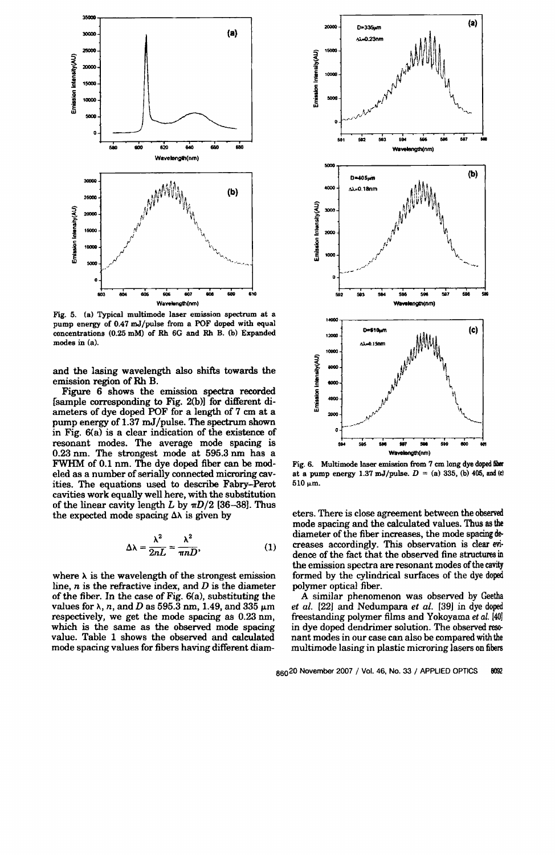

Fig. 5. (a) Typical multimode laser emission spectrum at a pump energy of 0.47 mJ/pulse from a POF doped with equal concentrations (0.25 mM) of Rh 6G and Rh B. (b) Expanded modes in (a).

and the lasing wavelength also shifts towards the emission region of Rh B.

Figure 6 shows the emission spectra recorded [sample corresponding to Fig. 2(b») for different diameters of dye doped POF for a length of 7 cm at a pump energy of 1.37 mJ /pulse. The spectrum shown in Fig. 6(a) is a clear indication of the existence of resonant modes. The average mode spacing is 0.23 nm. The strongest mode at 595.3 om has a FWHM of 0.1 nm. The dye doped fiber can be modeled as a number of serially connected microring cavities. The equations used to describe Fabry-Perot cavities work equally well here, with the substitution of the linear cavity length *L* by  $\pi D/2$  [36-38]. Thus the expected mode spacing  $\Delta\lambda$  is given by

$$
\Delta\lambda = \frac{\lambda^2}{2nL} = \frac{\lambda^2}{\pi n D},\tag{1}
$$

where  $\lambda$  is the wavelength of the strongest emission line, *n* is the refractive index, and D is the diameter of the fiber. In the case of Fig. 6(a), substituting the values for  $\lambda$ , *n*, and *D* as 595.3 nm, 1.49, and 335  $\mu$ m respectively, we get the mode spacing as 0.23 nm, which is the same as the observed mode spacing value. Table 1 shows the observed and calculated mode spacing values for fibers having different diam-



Fig. 6. Multimode laser emission from 7 cm long dye doped fiber at a pump energy 1.37 mJ/pulse.  $D = (a)$  335, (b) 405, and (c)  $510~\mu m$ .

eters. There is close agreement between the observed mode spacing and the calculated values. Thus as the diameter of the fiber increases, the mode spacing decreases accordingly. This observation is clear evi· dence of the fact that the observed fine structures in the emission spectra are resonant modes of the cavity formed by the cylindrical surfaces of the dye doped polymer optical fiber.

A similar phenomenon was observed by Geetha *et al.* [22J and Nedumpara *et al.* [39J in dye doped freestanding polymer films and Yokoyama et al. [40] in dye doped dendrimer solution. The observed resonant modes in our case can also be compared with the multimode lasing in plastic microring lasers on fibezs

860<sup>20</sup> November 2007 / Vol. 46, No. 33 / APPLIED OPTICS 8092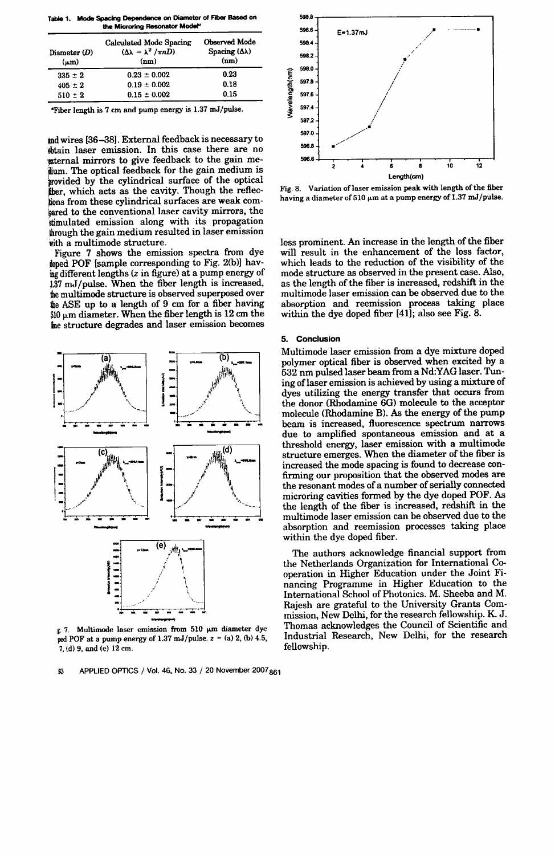Table 1. Mode SpacIng Dependence on Diameter of Fiber Based on the Microring Resonator Model<sup>\*</sup>

| Diameter $(D)$<br>$(\mu m)$ | <b>Calculated Mode Spacing</b><br>$(\Delta \lambda = \lambda^2 / \pi n D)$<br>(nm) | Observed Mode<br>Spacing $(\Delta \lambda)$<br>(nm) |
|-----------------------------|------------------------------------------------------------------------------------|-----------------------------------------------------|
| $335 \pm 2$                 | $0.23 \pm 0.002$                                                                   | 0.23                                                |
| $405 \pm 2$                 | $0.19 \pm 0.002$                                                                   | 0.18                                                |
| $510 \pm 2$                 | $0.15 \pm 0.002$                                                                   | 0.15                                                |

"Fiber length is 7 cm and pump energy is 1.37 mJ/pulse.

and wires [36-38]. External feedback is necessary to obtain laser emission. In this case there are no external mirrors to give feedback to the gain meidium. The optical feedback for the gain medium is provided by the cylindrical surface of the optical from these cylindrical surfaces are weak comther, which acts as the cavity. Though the refleclpared to the conventional laser cavity mirrors, the timulated emission along with its propagation through the gain medium resulted in laser emission with a multimode structure.

Figure 7 shows the emission spectra from dye doped POF [sample corresponding to Fig. 2(b)] having different lengths (z in figure) at a pump energy of 137 mJ/pulse. When the fiber length is increased, the multimode structure is observed superposed over the ASE up to a length of 9 cm for a fiber having  $$10 \mu m$  diameter. When the fiber length is 12 cm the me structure degrades and laser emission becomes



ped POF at a pump energy of  $1.37 \text{ mJ/pulse. } z = (a) 2$ , (b) 4.5, 7, (d) 9, and (e) 12 cm.

33 APPLIED OPTICS / Vol. 46, No. 33 / 20 November 2007<sub>861</sub>



Fig. 8. Variation of laser emission peak with length of the fiber having a diameter of 510  $\mu$ m at a pump energy of 1.37 mJ/pulse.

less prominent. An increase in the length of the fiber will result in the enhancement of the loss factor, which leads to the reduction of the visibility of the mode structure as observed in the present case. Also, as the length of the fiber is increased, redshift in the multimode laser emission can be observed due to the absorption and reemission process taking place within the dye doped fiber [41]; also see Fig. 8.

### 5. Conclusion

Multimode laser emission from a dye mixture doped polymer optical fiber is observed when excited by a 532 nm pulsed laser beam from a Nd:YAG laser. Tuning of laser emission is achieved by using a mixture of dyes utilizing the energy transfer that occurs from the donor (Rhodamine 6G) molecule to the acceptor molecule (Rhodamine B). As the energy of the pump beam is increased, fluorescence spectrum narrows due to amplified spontaneous emission and at a threshold energy, laser emission with a multimode structure emerges. When the diameter of the fiber is increased the mode spacing is found to decrease confirming our proposition that the observed modes are the resonant modes of a number of serially connected microring cavities formed by the dye doped POF. As the length of the fiber is increased, redshift in the multimode laser emission can be observed due to the absorption and reemission processes taking place within the dye doped fiber.

The authors acknowledge financial support from the Netherlands Organization for International Cooperation in Higher Education under the Joint Financing Programme in Higher Education to the International School of Photonics. M. Sheeba and M. Rajesh are grateful to the University Grants Commission, New Delhi, for the research fellowship. K J. Thomas acknowledges the Council of Scientific and Industrial Research, New Delhi, for the research fellowship.